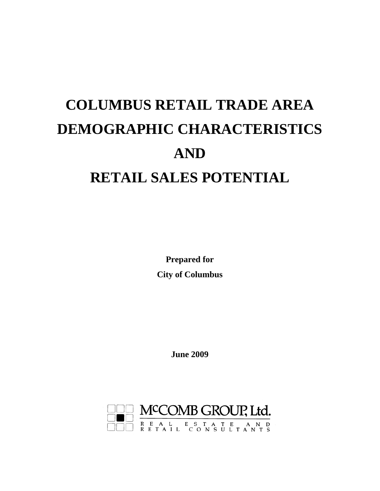# **COLUMBUS RETAIL TRADE AREA DEMOGRAPHIC CHARACTERISTICS AND RETAIL SALES POTENTIAL**

**Prepared for City of Columbus** 

**June 2009** 

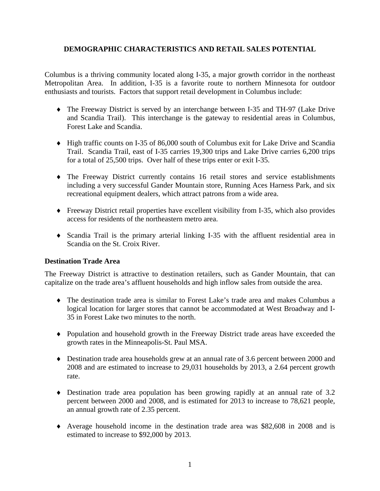# **DEMOGRAPHIC CHARACTERISTICS AND RETAIL SALES POTENTIAL**

Columbus is a thriving community located along I-35, a major growth corridor in the northeast Metropolitan Area. In addition, I-35 is a favorite route to northern Minnesota for outdoor enthusiasts and tourists. Factors that support retail development in Columbus include:

- ♦ The Freeway District is served by an interchange between I-35 and TH-97 (Lake Drive and Scandia Trail). This interchange is the gateway to residential areas in Columbus, Forest Lake and Scandia.
- ♦ High traffic counts on I-35 of 86,000 south of Columbus exit for Lake Drive and Scandia Trail. Scandia Trail, east of I-35 carries 19,300 trips and Lake Drive carries 6,200 trips for a total of 25,500 trips. Over half of these trips enter or exit I-35.
- ♦ The Freeway District currently contains 16 retail stores and service establishments including a very successful Gander Mountain store, Running Aces Harness Park, and six recreational equipment dealers, which attract patrons from a wide area.
- ♦ Freeway District retail properties have excellent visibility from I-35, which also provides access for residents of the northeastern metro area.
- ♦ Scandia Trail is the primary arterial linking I-35 with the affluent residential area in Scandia on the St. Croix River.

# **Destination Trade Area**

The Freeway District is attractive to destination retailers, such as Gander Mountain, that can capitalize on the trade area's affluent households and high inflow sales from outside the area.

- ♦ The destination trade area is similar to Forest Lake's trade area and makes Columbus a logical location for larger stores that cannot be accommodated at West Broadway and I-35 in Forest Lake two minutes to the north.
- ♦ Population and household growth in the Freeway District trade areas have exceeded the growth rates in the Minneapolis-St. Paul MSA.
- ♦ Destination trade area households grew at an annual rate of 3.6 percent between 2000 and 2008 and are estimated to increase to 29,031 households by 2013, a 2.64 percent growth rate.
- $\bullet$  Destination trade area population has been growing rapidly at an annual rate of 3.2 percent between 2000 and 2008, and is estimated for 2013 to increase to 78,621 people, an annual growth rate of 2.35 percent.
- ♦ Average household income in the destination trade area was \$82,608 in 2008 and is estimated to increase to \$92,000 by 2013.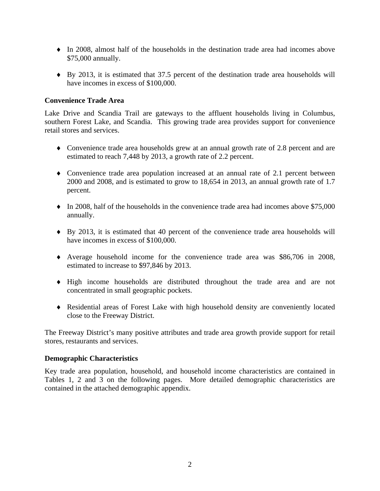- ♦ In 2008, almost half of the households in the destination trade area had incomes above \$75,000 annually.
- ♦ By 2013, it is estimated that 37.5 percent of the destination trade area households will have incomes in excess of \$100,000.

# **Convenience Trade Area**

Lake Drive and Scandia Trail are gateways to the affluent households living in Columbus, southern Forest Lake, and Scandia. This growing trade area provides support for convenience retail stores and services.

- ♦ Convenience trade area households grew at an annual growth rate of 2.8 percent and are estimated to reach 7,448 by 2013, a growth rate of 2.2 percent.
- ♦ Convenience trade area population increased at an annual rate of 2.1 percent between 2000 and 2008, and is estimated to grow to 18,654 in 2013, an annual growth rate of 1.7 percent.
- $\bullet$  In 2008, half of the households in the convenience trade area had incomes above \$75,000 annually.
- ♦ By 2013, it is estimated that 40 percent of the convenience trade area households will have incomes in excess of \$100,000.
- ♦ Average household income for the convenience trade area was \$86,706 in 2008, estimated to increase to \$97,846 by 2013.
- ♦ High income households are distributed throughout the trade area and are not concentrated in small geographic pockets.
- ♦ Residential areas of Forest Lake with high household density are conveniently located close to the Freeway District.

The Freeway District's many positive attributes and trade area growth provide support for retail stores, restaurants and services.

## **Demographic Characteristics**

Key trade area population, household, and household income characteristics are contained in Tables 1, 2 and 3 on the following pages. More detailed demographic characteristics are contained in the attached demographic appendix.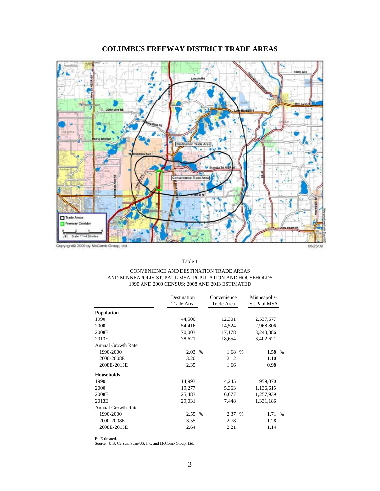

# **COLUMBUS FREEWAY DISTRICT TRADE AREAS**

Table 1

### CONVENIENCE AND DESTINATION TRADE AREAS AND MINNEAPOLIS-ST. PAUL MSA: POPULATION AND HOUSEHOLDS 1990 AND 2000 CENSUS; 2008 AND 2013 ESTIMATED

|                           | Destination |               | Convenience |      | Minneapolis- |      |
|---------------------------|-------------|---------------|-------------|------|--------------|------|
|                           | Trade Area  |               | Trade Area  |      | St. Paul MSA |      |
| <b>Population</b>         |             |               |             |      |              |      |
| 1990                      | 44,500      |               | 12,301      |      | 2,537,677    |      |
| 2000                      | 54,416      |               | 14,524      |      | 2,968,806    |      |
| 2008E                     | 70,003      |               | 17,178      |      | 3,240,886    |      |
| 2013E                     | 78,621      |               | 18,654      |      | 3,402,621    |      |
| <b>Annual Growth Rate</b> |             |               |             |      |              |      |
| 1990-2000                 | 2.03        | $\frac{0}{0}$ | 1.68        | $\%$ | 1.58 %       |      |
| 2000-2008E                | 3.20        |               | 2.12        |      | 1.10         |      |
| 2008E-2013E               | 2.35        |               | 1.66        |      | 0.98         |      |
| <b>Households</b>         |             |               |             |      |              |      |
| 1990                      | 14,993      |               | 4,245       |      | 959,070      |      |
| 2000                      | 19,277      |               | 5,363       |      | 1,136,615    |      |
| 2008E                     | 25,483      |               | 6,677       |      | 1,257,939    |      |
| 2013E                     | 29,031      |               | 7,448       |      | 1,331,186    |      |
| <b>Annual Growth Rate</b> |             |               |             |      |              |      |
| 1990-2000                 | 2.55        | $\%$          | 2.37        | $\%$ | 1.71         | $\%$ |
| 2000-2008E                | 3.55        |               | 2.78        |      | 1.28         |      |
| 2008E-2013E               | 2.64        |               | 2.21        |      | 1.14         |      |

E: Estimated.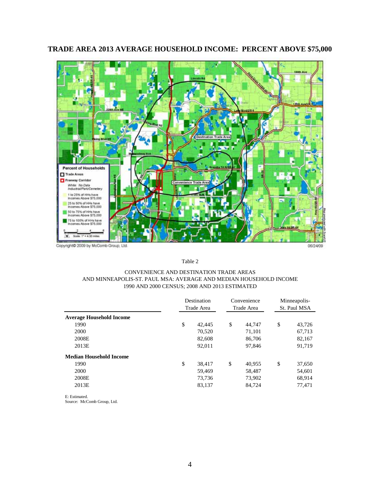

# **TRADE AREA 2013 AVERAGE HOUSEHOLD INCOME: PERCENT ABOVE \$75,000**

Table 2

### CONVENIENCE AND DESTINATION TRADE AREAS AND MINNEAPOLIS-ST. PAUL MSA: AVERAGE AND MEDIAN HOUSEHOLD INCOME 1990 AND 2000 CENSUS; 2008 AND 2013 ESTIMATED

|                                 | Destination<br>Trade Area |    | Convenience<br>Trade Area |    | Minneapolis-<br>St. Paul MSA |  |
|---------------------------------|---------------------------|----|---------------------------|----|------------------------------|--|
| <b>Average Household Income</b> |                           |    |                           |    |                              |  |
| 1990                            | \$<br>42,445              | \$ | 44,747                    | \$ | 43,726                       |  |
| 2000                            | 70,520                    |    | 71,101                    |    | 67,713                       |  |
| 2008E                           | 82,608                    |    | 86,706                    |    | 82,167                       |  |
| 2013E                           | 92,011                    |    | 97,846                    |    | 91,719                       |  |
| <b>Median Household Income</b>  |                           |    |                           |    |                              |  |
| 1990                            | \$<br>38,417              | \$ | 40,955                    | \$ | 37,650                       |  |
| 2000                            | 59,469                    |    | 58,487                    |    | 54,601                       |  |
| 2008E                           | 73,736                    |    | 73,902                    |    | 68,914                       |  |
| 2013E                           | 83,137                    |    | 84,724                    |    | 77,471                       |  |

E: Estimated. Source: McComb Group, Ltd.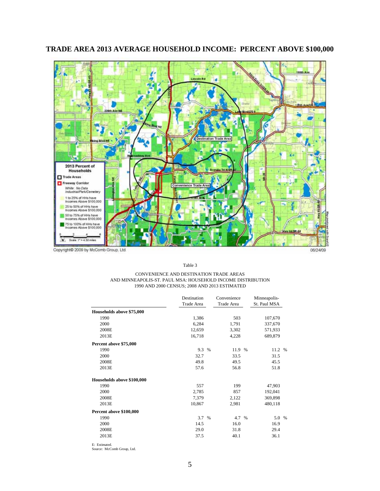

# **TRADE AREA 2013 AVERAGE HOUSEHOLD INCOME: PERCENT ABOVE \$100,000**

Table 3

### CONVENIENCE AND DESTINATION TRADE AREAS AND MINNEAPOLIS-ST. PAUL MSA: HOUSEHOLD INCOME DISTRIBUTION 1990 AND 2000 CENSUS; 2008 AND 2013 ESTIMATED

|                            | Destination |      | Convenience | Minneapolis- |  |
|----------------------------|-------------|------|-------------|--------------|--|
|                            | Trade Area  |      | Trade Area  | St. Paul MSA |  |
| Households above \$75,000  |             |      |             |              |  |
| 1990                       | 1,386       |      | 503         | 107,670      |  |
| 2000                       | 6,284       |      | 1,791       | 337,670      |  |
| 2008E                      | 12,659      |      | 3,302       | 571,933      |  |
| 2013E                      | 16,718      |      | 4,228       | 689,879      |  |
| Percent above \$75,000     |             |      |             |              |  |
| 1990                       | 9.3         | $\%$ | 11.9 %      | 11.2 %       |  |
| 2000                       | 32.7        |      | 33.5        | 31.5         |  |
| 2008E                      | 49.8        |      | 49.5        | 45.5         |  |
| 2013E                      | 57.6        |      | 56.8        | 51.8         |  |
| Households above \$100,000 |             |      |             |              |  |
| 1990                       | 557         |      | 199         | 47,903       |  |
| 2000                       | 2,785       |      | 857         | 192,041      |  |
| 2008E                      | 7,379       |      | 2,122       | 369,898      |  |
| 2013E                      | 10,867      |      | 2,981       | 480,118      |  |
| Percent above \$100,000    |             |      |             |              |  |
| 1990                       | 3.7 %       |      | 4.7 %       | 5.0 %        |  |
| 2000                       | 14.5        |      | 16.0        | 16.9         |  |
| 2008E                      | 29.0        |      | 31.8        | 29.4         |  |
| 2013E                      | 37.5        |      | 40.1        | 36.1         |  |

E: Estimated. Source: McComb Group, Ltd.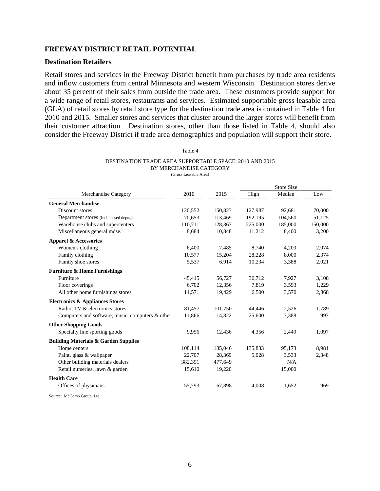### **FREEWAY DISTRICT RETAIL POTENTIAL**

### **Destination Retailers**

Retail stores and services in the Freeway District benefit from purchases by trade area residents and inflow customers from central Minnesota and western Wisconsin. Destination stores derive about 35 percent of their sales from outside the trade area. These customers provide support for a wide range of retail stores, restaurants and services. Estimated supportable gross leasable area (GLA) of retail stores by retail store type for the destination trade area is contained in Table 4 for 2010 and 2015. Smaller stores and services that cluster around the larger stores will benefit from their customer attraction. Destination stores, other than those listed in Table 4, should also consider the Freeway District if trade area demographics and population will support their store.

| ۰,<br>× |  |
|---------|--|
|---------|--|

## DESTINATION TRADE AREA SUPPORTABLE SPACE; 2010 AND 2015 BY MERCHANDISE CATEGORY

| (Gross Leasable Area) |
|-----------------------|
|                       |

|                                                  |         |         |         | Store Size |         |
|--------------------------------------------------|---------|---------|---------|------------|---------|
| Merchandise Category                             | 2010    | 2015    | High    | Median     | Low     |
| <b>General Merchandise</b>                       |         |         |         |            |         |
| Discount stores                                  | 120,552 | 150,823 | 127,987 | 92,681     | 70,000  |
| Department stores (Incl. leased depts.)          | 70,653  | 113,469 | 192,195 | 104,560    | 51,125  |
| Warehouse clubs and supercenters                 | 110,711 | 128,367 | 225,000 | 185,000    | 150,000 |
| Miscellaneous general mdse.                      | 8,684   | 10,848  | 11,212  | 8,400      | 3,200   |
| <b>Apparel &amp; Accessories</b>                 |         |         |         |            |         |
| Women's clothing                                 | 6,400   | 7,485   | 8,740   | 4,200      | 2,074   |
| Family clothing                                  | 10,577  | 15,204  | 28,228  | 8,000      | 2,374   |
| Family shoe stores                               | 5,537   | 6,914   | 10,234  | 3,388      | 2,021   |
| <b>Furniture &amp; Home Furnishings</b>          |         |         |         |            |         |
| Furniture                                        | 45,415  | 56,727  | 36,712  | 7,927      | 3,108   |
| Floor coverings                                  | 6,702   | 12,356  | 7,819   | 3,593      | 1,229   |
| All other home furnishings stores                | 11,571  | 19,429  | 6,500   | 3,570      | 2,868   |
| <b>Electronics &amp; Appliances Stores</b>       |         |         |         |            |         |
| Radio, TV & electronics stores                   | 81,457  | 101,750 | 44,446  | 2,526      | 1,789   |
| Computers and software, music, computers & other | 11,866  | 14,822  | 25,600  | 3,388      | 997     |
| <b>Other Shopping Goods</b>                      |         |         |         |            |         |
| Specialty line sporting goods                    | 9,956   | 12,436  | 4,356   | 2,449      | 1,097   |
| <b>Building Materials &amp; Garden Supplies</b>  |         |         |         |            |         |
| Home centers                                     | 108,114 | 135,046 | 135,833 | 95,173     | 8,981   |
| Paint, glass & wallpaper                         | 22,707  | 28,369  | 5,028   | 3,533      | 2,348   |
| Other building materials dealers                 | 382,391 | 477,649 |         | N/A        |         |
| Retail nurseries, lawn & garden                  | 15,610  | 19,220  |         | 15,000     |         |
| <b>Health Care</b>                               |         |         |         |            |         |
| Offices of physicians                            | 55,793  | 67,898  | 4,008   | 1,652      | 969     |
| Source: McComb Group, Ltd.                       |         |         |         |            |         |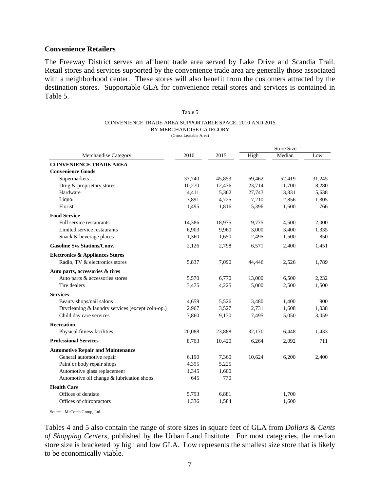# **Convenience Retailers**

The Freeway District serves an affluent trade area served by Lake Drive and Scandia Trail. Retail stores and services supported by the convenience trade area are generally those associated with a neighborhood center. These stores will also benefit from the customers attracted by the destination stores. Supportable GLA for convenience retail stores and services is contained in Table 5.

### Table 5 CONVENIENCE TRADE AREA SUPPORTABLE SPACE; 2010 AND 2015 BY MERCHANDISE CATEGORY (Gross Leasable Area)

| <b>Merchandise Category</b>                      | 2010   | 2015   | High   | Median | Low    |
|--------------------------------------------------|--------|--------|--------|--------|--------|
| <b>CONVENIENCE TRADE AREA</b>                    |        |        |        |        |        |
| <b>Convenience Goods</b>                         |        |        |        |        |        |
| Supermarkets                                     | 37,740 | 45,853 | 69,462 | 52,419 | 31,245 |
| Drug & proprietary stores                        | 10,270 | 12,476 | 23,714 | 11,700 | 8,280  |
| Hardware                                         | 4,411  | 5,362  | 27,743 | 13,831 | 5,638  |
| Liquor                                           | 3,891  | 4,725  | 7,210  | 2,856  | 1,305  |
| Florist                                          | 1,495  | 1,816  | 5,396  | 1,600  | 766    |
| <b>Food Service</b>                              |        |        |        |        |        |
| Full service restaurants                         | 14,386 | 18,975 | 9,775  | 4,500  | 2,000  |
| Limited service restaurants                      | 6,903  | 9,960  | 3,000  | 3,400  | 1,335  |
| Snack & beverage places                          | 1,360  | 1,650  | 2,495  | 1,500  | 850    |
| <b>Gasoline Svs Stations/Conv.</b>               | 2,126  | 2,798  | 6,571  | 2,400  | 1,451  |
| <b>Electronics &amp; Appliances Stores</b>       |        |        |        |        |        |
| Radio, TV & electronics stores                   | 5,837  | 7,090  | 44,446 | 2,526  | 1,789  |
| Auto parts, accessories & tires                  |        |        |        |        |        |
| Auto parts & accessories stores                  | 5,570  | 6,770  | 13,000 | 6,500  | 2,232  |
| Tire dealers                                     | 3,475  | 4,225  | 5,000  | 2,500  | 1,500  |
| <b>Services</b>                                  |        |        |        |        |        |
| Beauty shops/nail salons                         | 4,659  | 5,526  | 3,480  | 1,400  | 900    |
| Drycleaning & laundry services (except coin-op.) | 2,967  | 3,527  | 2,731  | 1,608  | 1,038  |
| Child day care services                          | 7,860  | 9,130  | 7,495  | 5,050  | 3,059  |
| <b>Recreation</b>                                |        |        |        |        |        |
| Physical fitness facilities                      | 20,088 | 23,888 | 32,170 | 6,448  | 1,433  |
| <b>Professional Services</b>                     | 8,763  | 10,420 | 6,264  | 2,092  | 711    |
| <b>Automotive Repair and Maintenance</b>         |        |        |        |        |        |
| General automotive repair                        | 6,190  | 7,360  | 10,624 | 6,200  | 2,400  |
| Paint or body repair shops                       | 4,395  | 5,225  |        |        |        |
| Automotive glass replacement                     | 1,345  | 1,600  |        |        |        |
| Automotive oil change & lubrication shops        | 645    | 770    |        |        |        |
| <b>Health Care</b>                               |        |        |        |        |        |
| Offices of dentists                              | 5,793  | 6,881  |        | 1,700  |        |
| Offices of chiropractors                         | 1,336  | 1,584  |        | 1,600  |        |
|                                                  |        |        |        |        |        |

Source: McComb Group, Ltd.

Tables 4 and 5 also contain the range of store sizes in square feet of GLA from *Dollars & Cents of Shopping Centers*, published by the Urban Land Institute. For most categories, the median store size is bracketed by high and low GLA. Low represents the smallest size store that is likely to be economically viable.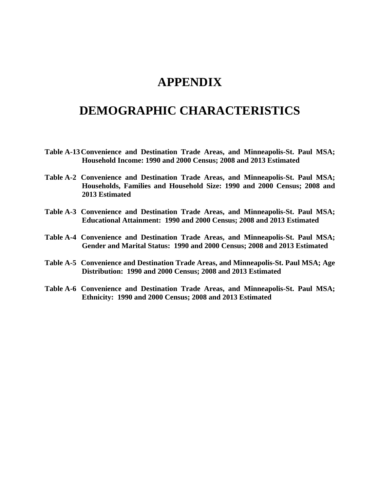# **APPENDIX**

# **DEMOGRAPHIC CHARACTERISTICS**

- **Table A-13 Convenience and Destination Trade Areas, and Minneapolis-St. Paul MSA; Household Income: 1990 and 2000 Census; 2008 and 2013 Estimated**
- **Table A-2 Convenience and Destination Trade Areas, and Minneapolis-St. Paul MSA; Households, Families and Household Size: 1990 and 2000 Census; 2008 and 2013 Estimated**
- **Table A-3 Convenience and Destination Trade Areas, and Minneapolis-St. Paul MSA; Educational Attainment: 1990 and 2000 Census; 2008 and 2013 Estimated**
- **Table A-4 Convenience and Destination Trade Areas, and Minneapolis-St. Paul MSA; Gender and Marital Status: 1990 and 2000 Census; 2008 and 2013 Estimated**
- **Table A-5 Convenience and Destination Trade Areas, and Minneapolis-St. Paul MSA; Age Distribution: 1990 and 2000 Census; 2008 and 2013 Estimated**
- **Table A-6 Convenience and Destination Trade Areas, and Minneapolis-St. Paul MSA; Ethnicity: 1990 and 2000 Census; 2008 and 2013 Estimated**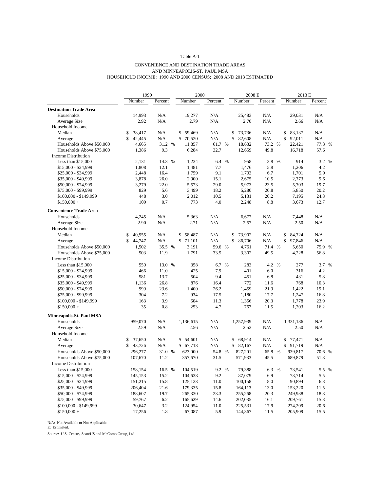#### CONVENIENCE AND DESTINATION TRADE AREAS AND MINNEAPOLIS-ST. PAUL MSA HOUSEHOLD INCOME: 1990 AND 2000 CENSUS; 2008 AND 2013 ESTIMATED

|                               | 1990                         |              | 2000         |             | 2008 E                       |             | 2013 E                  |         |
|-------------------------------|------------------------------|--------------|--------------|-------------|------------------------------|-------------|-------------------------|---------|
|                               | Number                       | Percent      | Number       | Percent     | Number                       | Percent     | Number                  | Percent |
| <b>Destination Trade Area</b> |                              |              |              |             |                              |             |                         |         |
| Households                    | 14,993                       | N/A          | 19,277       | N/A         | 25,483                       | N/A         | 29.031                  | N/A     |
| <b>Average Size</b>           | 2.92                         | N/A          | 2.79         | N/A         | 2.70                         | N/A         | 2.66                    | N/A     |
| Household Income              |                              |              |              |             |                              |             |                         |         |
| Median                        | 38,417<br>\$                 | N/A          | \$<br>59,469 | N/A         | \$<br>73,736                 | N/A         | \$<br>83,137            | N/A     |
| Average                       | $\mathbf{\hat{S}}$<br>42,445 | N/A          | \$<br>70,520 | N/A         | $\mathbf{\hat{S}}$<br>82,608 | N/A         | \$<br>92,011            | N/A     |
| Households Above \$50,000     | 4,665                        | 31.2 %       | 11,857       | 61.7 %      | 18,632                       | 73.2 %      | 22,421                  | 77.3 %  |
| Households Above \$75,000     | 1,386                        | 9.3          | 6,284        | 32.7        | 12,659                       | 49.8        | 16,718                  | 57.6    |
| <b>Income Distribution</b>    |                              |              |              |             |                              |             |                         |         |
| Less than $$15,000$           | 2,131                        | 14.3 %       | 1,234        | 6.4 %       | 958                          | 3.8 %       | 914                     | 3.2 %   |
| \$15,000 - \$24,999           | 1,808                        | 12.1         | 1,481        | 7.7         | 1,476                        | 5.8         | 1,206                   | 4.2     |
| \$25,000 - \$34,999           | 2,448                        | 16.4         | 1,759        | 9.1         | 1,703                        | 6.7         | 1,701                   | 5.9     |
| \$35,000 - \$49,999           | 3,878                        | 26.0         | 2,900        | 15.1        | 2,675                        | 10.5        | 2,773                   | 9.6     |
| \$50,000 - \$74,999           | 3,279                        | 22.0         | 5,573        | 29.0        | 5,973                        | 23.5        | 5,703                   | 19.7    |
| \$75,000 - \$99,999           | 829                          | 5.6          | 3,499        | 18.2        | 5,280                        | 20.8        | 5,850                   | 20.2    |
| $$100,000 - $149,999$         | 448                          | 3.0          | 2,012        | 10.5        | 5,131                        | 20.2        | 7,195                   | 24.8    |
| $$150,000 +$                  | 109                          | 0.7          | 773          | 4.0         | 2,248                        | 8.8         | 3,673                   | 12.7    |
| <b>Convenience Trade Area</b> |                              |              |              |             |                              |             |                         |         |
| Households                    | 4,245                        | N/A          | 5,363        | N/A         | 6.677                        | N/A         | 7.448                   | N/A     |
| <b>Average Size</b>           | 2.90                         | N/A          | 2.71         | N/A         | 2.57                         | N/A         | 2.50                    | N/A     |
| Household Income              |                              |              |              |             |                              |             |                         |         |
| Median                        | 40,955<br>\$                 | N/A          | 58,487<br>\$ | N/A         | \$<br>73,902                 | N/A         | \$<br>84,724            | N/A     |
| Average                       | \$<br>44,747                 | N/A          | \$71,101     | N/A         | \$<br>86,706                 | N/A         | $\mathsf{\$}$<br>97,846 | N/A     |
| Households Above \$50,000     | 1,502                        | 35.5<br>$\%$ | 3,191        | 59.6 %      | 4,761                        | 71.4 %      | 5,650                   | 75.9 %  |
| Households Above \$75,000     | 503                          | 11.9         | 1,791        | 33.5        | 3,302                        | 49.5        | 4,228                   | 56.8    |
| <b>Income Distribution</b>    |                              |              |              |             |                              |             |                         |         |
| Less than $$15,000$           | 550                          | 13.0 %       | 358          | $\%$<br>6.7 | 283                          | 4.2 %       | 277                     | 3.7 %   |
| \$15,000 - \$24,999           | 466                          | 11.0         | 425          | 7.9         | 401                          | 6.0         | 316                     | 4.2     |
| \$25,000 - \$34,999           | 581                          | 13.7         | 504          | 9.4         | 451                          | 6.8         | 431                     | 5.8     |
| \$35,000 - \$49,999           | 1.136                        | 26.8         | 876          | 16.4        | 772                          | 11.6        | 768                     | 10.3    |
| \$50,000 - \$74,999           | 999                          | 23.6         | 1,400        | 26.2        | 1,459                        | 21.9        | 1,422                   | 19.1    |
| \$75,000 - \$99,999           | 304                          | 7.2          | 934          | 17.5        | 1,180                        | 17.7        | 1,247                   | 16.8    |
| \$100,000 - \$149,999         | 163                          | 3.9          | 604          | 11.3        | 1,356                        | 20.3        | 1,778                   | 23.9    |
| $$150,000 +$                  | 35                           | 0.8          | 253          | 4.7         | 767                          | 11.5        | 1,203                   | 16.2    |
| Minneapolis-St. Paul MSA      |                              |              |              |             |                              |             |                         |         |
| Households                    | 959,070                      | N/A          | 1,136,615    | N/A         | 1,257,939                    | N/A         | 1,331,186               | N/A     |
| Average Size                  | 2.59                         | N/A          | 2.56         | N/A         | 2.52                         | N/A         | 2.50                    | N/A     |
| Household Income              |                              |              |              |             |                              |             |                         |         |
| Median                        | 37,650<br>\$                 | N/A          | \$ 54,601    | N/A         | 68,914<br>\$                 | N/A         | 77,471<br>\$            | N/A     |
| Average                       | \$<br>43,726                 | N/A          | \$67,713     | N/A         | $\mathbb{S}$<br>82,167       | N/A         | \$<br>91,719            | N/A     |
| Households Above \$50,000     | 296,277                      | 31.0 %       | 623,000      | 54.8 %      | 827,201                      | 65.8 %      | 939,817                 | 70.6 %  |
| Households Above \$75,000     | 107,670                      | 11.2         | 357,670      | 31.5        | 571,933                      | 45.5        | 689,879                 | 51.8    |
| Income Distribution           |                              |              |              |             |                              |             |                         |         |
| Less than $$15,000$           | 158,154                      | 16.5 %       | 104,519      | 9.2 %       | 79,388                       | 6.3<br>$\%$ | 73,541                  | 5.5 %   |
| $$15,000 - $24,999$           | 145,153                      | 15.2         | 104,638      | 9.2         | 87,079                       | 6.9         | 73,714                  | 5.5     |
| \$25,000 - \$34,999           | 151,215                      | 15.8         | 125,123      | 11.0        | 100,158                      | 8.0         | 90,894                  | 6.8     |
| \$35,000 - \$49,999           | 206,404                      | 21.6         | 179,335      | 15.8        | 164,113                      | 13.0        | 153,220                 | 11.5    |
| \$50,000 - \$74,999           | 188,607                      | 19.7         | 265,330      | 23.3        | 255,268                      | 20.3        | 249,938                 | 18.8    |
| \$75,000 - \$99,999           | 59,767                       | 6.2          | 165,629      | 14.6        | 202,035                      | 16.1        | 209,761                 | 15.8    |
| \$100,000 - \$149,999         | 30,647                       | 3.2          | 124,954      | 11.0        | 225,531                      | 17.9        | 274,209                 | 20.6    |
| $$150,000 +$                  | 17,256                       | 1.8          | 67,087       | 5.9         | 144,367                      | 11.5        | 205,909                 | 15.5    |
|                               |                              |              |              |             |                              |             |                         |         |

N/A: Not Available or Not Applicable. E: Estimated.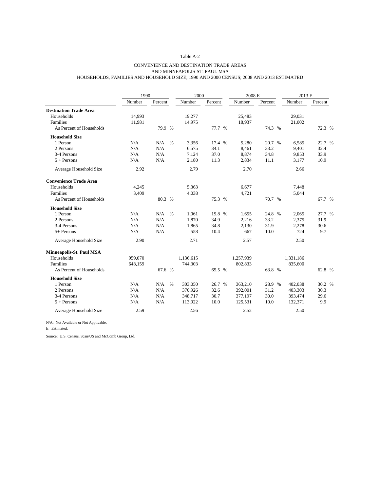#### CONVENIENCE AND DESTINATION TRADE AREAS AND MINNEAPOLIS-ST. PAUL MSA HOUSEHOLDS, FAMILIES AND HOUSEHOLD SIZE; 1990 AND 2000 CENSUS; 2008 AND 2013 ESTIMATED

|                               | 1990    |         | 2000 |           |         | 2008 E    |         | 2013 E    |         |
|-------------------------------|---------|---------|------|-----------|---------|-----------|---------|-----------|---------|
|                               | Number  | Percent |      | Number    | Percent | Number    | Percent | Number    | Percent |
| <b>Destination Trade Area</b> |         |         |      |           |         |           |         |           |         |
| Households                    | 14,993  |         |      | 19,277    |         | 25,483    |         | 29,031    |         |
| Families                      | 11,981  |         |      | 14,975    |         | 18,937    |         | 21,002    |         |
| As Percent of Households      |         | 79.9 %  |      |           | 77.7 %  |           | 74.3 %  |           | 72.3 %  |
| <b>Household Size</b>         |         |         |      |           |         |           |         |           |         |
| 1 Person                      | N/A     | N/A     | $\%$ | 3,356     | 17.4 %  | 5,280     | 20.7 %  | 6,585     | 22.7 %  |
| 2 Persons                     | N/A     | N/A     |      | 6,575     | 34.1    | 8,461     | 33.2    | 9,401     | 32.4    |
| 3-4 Persons                   | N/A     | N/A     |      | 7,124     | 37.0    | 8,874     | 34.8    | 9,853     | 33.9    |
| $5 + Persons$                 | N/A     | N/A     |      | 2,180     | 11.3    | 2,834     | 11.1    | 3,177     | 10.9    |
| Average Household Size        | 2.92    |         |      | 2.79      |         | 2.70      |         | 2.66      |         |
| <b>Convenience Trade Area</b> |         |         |      |           |         |           |         |           |         |
| Households                    | 4,245   |         |      | 5,363     |         | 6,677     |         | 7,448     |         |
| Families                      | 3,409   |         |      | 4,038     |         | 4,721     |         | 5,044     |         |
| As Percent of Households      |         | 80.3 %  |      |           | 75.3 %  |           | 70.7 %  |           | 67.7 %  |
| <b>Household Size</b>         |         |         |      |           |         |           |         |           |         |
| 1 Person                      | N/A     | N/A     | $\%$ | 1,061     | 19.8 %  | 1,655     | 24.8 %  | 2,065     | 27.7 %  |
| 2 Persons                     | N/A     | N/A     |      | 1,870     | 34.9    | 2,216     | 33.2    | 2,375     | 31.9    |
| 3-4 Persons                   | N/A     | N/A     |      | 1,865     | 34.8    | 2,130     | 31.9    | 2,278     | 30.6    |
| $5+$ Persons                  | N/A     | N/A     |      | 558       | 10.4    | 667       | 10.0    | 724       | 9.7     |
| Average Household Size        | 2.90    |         |      | 2.71      |         | 2.57      |         | 2.50      |         |
| Minneapolis-St. Paul MSA      |         |         |      |           |         |           |         |           |         |
| Households                    | 959,070 |         |      | 1,136,615 |         | 1,257,939 |         | 1,331,186 |         |
| Families                      | 648,159 |         |      | 744,303   |         | 802,833   |         | 835,600   |         |
| As Percent of Households      |         | 67.6 %  |      |           | 65.5 %  |           | 63.8 %  |           | 62.8 %  |
| <b>Household Size</b>         |         |         |      |           |         |           |         |           |         |
| 1 Person                      | N/A     | N/A     | $\%$ | 303,050   | 26.7 %  | 363,210   | 28.9 %  | 402,038   | 30.2 %  |
| 2 Persons                     | N/A     | N/A     |      | 370,926   | 32.6    | 392,001   | 31.2    | 403,303   | 30.3    |
| 3-4 Persons                   | N/A     | N/A     |      | 348,717   | 30.7    | 377,197   | 30.0    | 393,474   | 29.6    |
| $5 +$ Persons                 | N/A     | N/A     |      | 113,922   | 10.0    | 125,531   | 10.0    | 132,371   | 9.9     |
| Average Household Size        | 2.59    |         |      | 2.56      |         | 2.52      |         | 2.50      |         |

N/A: Not Available or Not Applicable.

E: Estimated.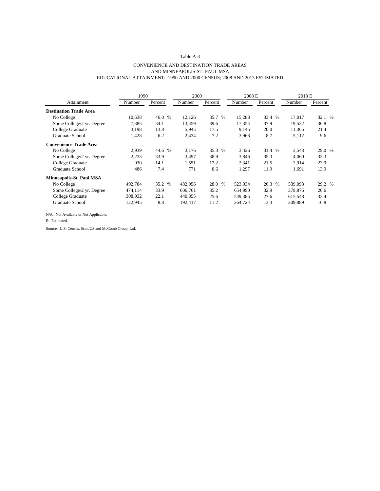### CONVENIENCE AND DESTINATION TRADE AREAS AND MINNEAPOLIS-ST. PAUL MSA EDUCATIONAL ATTAINMENT: 1990 AND 2000 CENSUS; 2008 AND 2013 ESTIMATED

|                               | 1990    |         | 2000    |         | 2008 E  |         | 2013 E  |         |
|-------------------------------|---------|---------|---------|---------|---------|---------|---------|---------|
| Attainment                    | Number  | Percent | Number  | Percent | Number  | Percent | Number  | Percent |
| <b>Destination Trade Area</b> |         |         |         |         |         |         |         |         |
| No College                    | 10,638  | 46.0 %  | 12,126  | 35.7 %  | 15,288  | 33.4 %  | 17.017  | 32.1 %  |
| Some College/2 yr. Degree     | 7,885   | 34.1    | 13,459  | 39.6    | 17,354  | 37.9    | 19.532  | 36.8    |
| College Graduate              | 3,198   | 13.8    | 5,945   | 17.5    | 9,145   | 20.0    | 11,365  | 21.4    |
| Graduate School               | 1,428   | 6.2     | 2,434   | 7.2     | 3,968   | 8.7     | 5,112   | 9.6     |
| <b>Convenience Trade Area</b> |         |         |         |         |         |         |         |         |
| No College                    | 2,939   | 44.6 %  | 3.176   | 35.3 %  | 3,426   | 31.4 %  | 3,543   | 29.0 %  |
| Some College/2 yr. Degree     | 2,233   | 33.9    | 3,497   | 38.9    | 3,846   | 35.3    | 4,060   | 33.3    |
| College Graduate              | 930     | 14.1    | 1,551   | 17.2    | 2,341   | 21.5    | 2,914   | 23.9    |
| Graduate School               | 486     | 7.4     | 771     | 8.6     | 1,297   | 11.9    | 1,691   | 13.9    |
| Minneapolis-St. Paul MSA      |         |         |         |         |         |         |         |         |
| No College                    | 492,784 | 35.2 %  | 482,956 | 28.0 %  | 523,934 | 26.3 %  | 539,093 | 29.2 %  |
| Some College/2 yr. Degree     | 474,114 | 33.9    | 606,761 | 35.2    | 654,990 | 32.9    | 379,875 | 20.6    |
| College Graduate              | 308,932 | 22.1    | 440,355 | 25.6    | 549,385 | 27.6    | 615,548 | 33.4    |
| Graduate School               | 122,945 | 8.8     | 192,417 | 11.2    | 264,724 | 13.3    | 309,889 | 16.8    |

N/A: Not Available or Not Applicable.

E: Estimated.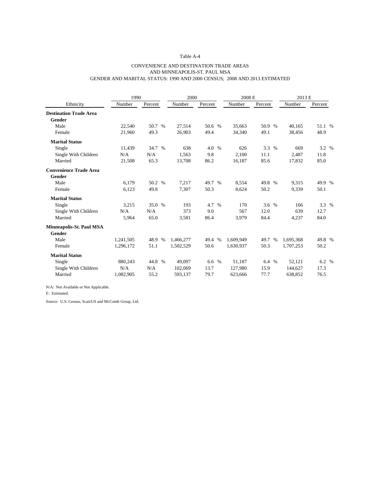### CONVENIENCE AND DESTINATION TRADE AREAS AND MINNEAPOLIS-ST. PAUL MSA GENDER AND MARITAL STATUS: 1990 AND 2000 CENSUS; 2008 AND 2013 ESTIMATED

| Number<br>Percent<br>Number<br>Number<br>Ethnicity<br>Number<br>Percent<br>Percent<br><b>Destination Trade Area</b><br>Gender<br>Male<br>50.7 %<br>27,514<br>50.6 %<br>35,663<br>50.9 %<br>40,165<br>22,540 | Percent<br>51.1 %<br>48.9<br>3.2 %<br>11.8 |  |
|-------------------------------------------------------------------------------------------------------------------------------------------------------------------------------------------------------------|--------------------------------------------|--|
|                                                                                                                                                                                                             |                                            |  |
|                                                                                                                                                                                                             |                                            |  |
|                                                                                                                                                                                                             |                                            |  |
|                                                                                                                                                                                                             |                                            |  |
| 49.3<br>49.4<br>49.1<br>26.903<br>34,340<br>38,456<br>21,960<br>Female                                                                                                                                      |                                            |  |
| <b>Marital Status</b>                                                                                                                                                                                       |                                            |  |
| 34.7 %<br>638<br>3.3 %<br>Single<br>11,439<br>4.0 %<br>626<br>669                                                                                                                                           |                                            |  |
| N/A<br>9.8<br>2,100<br>11.1<br>Single With Children<br>N/A<br>1,563<br>2,487                                                                                                                                |                                            |  |
| 65.3<br>86.2<br>85.6<br>Married<br>21,508<br>13,708<br>16,187<br>17,832                                                                                                                                     | 85.0                                       |  |
| <b>Convenience Trade Area</b>                                                                                                                                                                               |                                            |  |
| Gender                                                                                                                                                                                                      |                                            |  |
| 6,179<br>50.2 %<br>7,217<br>Male<br>49.7 %<br>8,554<br>49.8 %<br>9,315                                                                                                                                      | 49.9 %                                     |  |
| 49.8<br>50.3<br>50.2<br>Female<br>6,123<br>7,307<br>8,624<br>9,339                                                                                                                                          | 50.1                                       |  |
| <b>Marital Status</b>                                                                                                                                                                                       |                                            |  |
| 35.0 %<br>3,215<br>193<br>4.7<br>$\%$<br>170<br>3.6%<br>166<br>Single                                                                                                                                       | 3.3 %                                      |  |
| Single With Children<br>N/A<br>N/A<br>373<br>9.0<br>567<br>12.0<br>639                                                                                                                                      | 12.7                                       |  |
| 65.0<br>3.581<br>86.4<br>3,979<br>84.4<br>Married<br>5,964<br>4,237                                                                                                                                         | 84.0                                       |  |
| Minneapolis-St. Paul MSA                                                                                                                                                                                    |                                            |  |
| Gender                                                                                                                                                                                                      |                                            |  |
| Male<br>48.9 %<br>1,241,505<br>1,466,277<br>49.4 %<br>1,609,949<br>49.7 %<br>1,695,368                                                                                                                      | 49.8 %                                     |  |
| 51.1<br>1,502,529<br>50.6<br>1,630,937<br>50.3<br>1,707,253<br>1,296,172<br>Female                                                                                                                          | 50.2                                       |  |
| <b>Marital Status</b>                                                                                                                                                                                       |                                            |  |
| 44.8 %<br>6.6 %<br>51,187<br>52,121<br>Single<br>880,243<br>49,097<br>6.4 %                                                                                                                                 | 6.2 %                                      |  |
| N/A<br>N/A<br>13.7<br>15.9<br>Single With Children<br>102,069<br>127,980<br>144,627                                                                                                                         | 17.3                                       |  |
| Married<br>55.2<br>77.7<br>1,082,905<br>593,137<br>79.7<br>638,852<br>623,666                                                                                                                               | 76.5                                       |  |

N/A: Not Available or Not Applicable.

E: Estimated.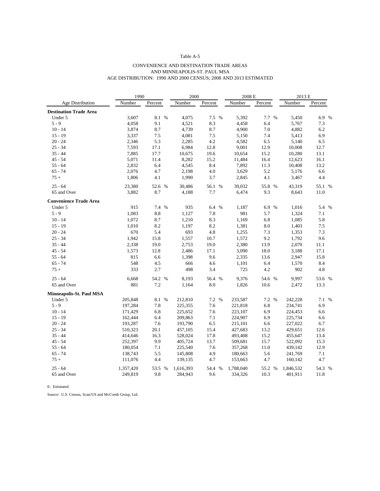### CONVENIENCE AND DESTINATION TRADE AREAS AND MINNEAPOLIS-ST. PAUL MSA AGE DISTRIBUTION: 1990 AND 2000 CENSUS; 2008 AND 2013 ESTIMATED

|                                 | 1990<br>2000 |              |           | 2008 E  |           |         | 2013 E    |         |
|---------------------------------|--------------|--------------|-----------|---------|-----------|---------|-----------|---------|
| Age Distribution                | Number       | Percent      | Number    | Percent | Number    | Percent | Number    | Percent |
| <b>Destination Trade Area</b>   |              |              |           |         |           |         |           |         |
| Under 5                         | 3,607        | 8.1 %        | 4,075     | 7.5 %   | 5,392     | 7.7 %   | 5,450     | 6.9 %   |
| $5 - 9$                         | 4,058        | 9.1          | 4,521     | 8.3     | 4,458     | 6.4     | 5,767     | 7.3     |
| $10 - 14$                       | 3,874        | 8.7          | 4,739     | 8.7     | 4,900     | 7.0     | 4,882     | 6.2     |
| $15 - 19$                       | 3,337        | 7.5          | 4,081     | 7.5     | 5,150     | 7.4     | 5,413     | 6.9     |
| $20 - 24$                       | 2,346        | 5.3          | 2,285     | 4.2     | 4,582     | 6.5     | 5,140     | 6.5     |
| $25 - 34$                       | 7,593        | 17.1         | 6,984     | 12.8    | 9,001     | 12.9    | 10,008    | 12.7    |
| $35 - 44$                       | 7,885        | 17.7         | 10,675    | 19.6    | 10,654    | 15.2    | 10,280    | 13.1    |
| $45 - 54$                       | 5,071        | 11.4         | 8,282     | 15.2    | 11,484    | 16.4    | 12,623    | 16.1    |
| $55 - 64$                       | 2,832        | 6.4          | 4,545     | 8.4     | 7,892     | 11.3    | 10,408    | 13.2    |
| $65 - 74$                       | 2,076        | 4.7          | 2,198     | 4.0     | 3,629     | 5.2     | 5,176     | 6.6     |
| $75+$                           | 1,806        | 4.1          | 1,990     | 3.7     | 2,845     | 4.1     | 3,467     | 4.4     |
| $25 - 64$                       | 23,380       | 52.6 %       | 30,486    | 56.1 %  | 39,032    | 55.8 %  | 43,319    | 55.1 %  |
| 65 and Over                     | 3,882        | 8.7          | 4,188     | 7.7     | 6,474     | 9.3     | 8,643     | 11.0    |
| <b>Convenience Trade Area</b>   |              |              |           |         |           |         |           |         |
| Under 5                         | 915          | $\%$<br>7.4  | 935       | 6.4 %   | 1,187     | 6.9 %   | 1,016     | 5.4 %   |
| $5 - 9$                         | 1,083        | 8.8          | 1,127     | 7.8     | 981       | 5.7     | 1,324     | 7.1     |
| $10 - 14$                       | 1,072        | 8.7          | 1,210     | 8.3     | 1,169     | 6.8     | 1,085     | 5.8     |
| $15 - 19$                       | 1,010        | 8.2          | 1,197     | 8.2     | 1,381     | 8.0     | 1,403     | 7.5     |
| $20 - 24$                       | 670          | 5.4          | 693       | 4.8     | 1,255     | 7.3     | 1,353     | 7.3     |
| $25 - 34$                       | 1,942        | 15.8         | 1,557     | 10.7    | 1,572     | 9.2     | 1,792     | 9.6     |
| $35 - 44$                       | 2,338        | 19.0         | 2,753     | 19.0    | 2,380     | 13.9    | 2,070     | 11.1    |
| $45 - 54$                       | 1,573        | 12.8         | 2,486     | 17.1    | 3,090     | 18.0    | 3,188     | 17.1    |
| $55 - 64$                       | 815          | 6.6          | 1,398     | 9.6     | 2,335     | 13.6    | 2,947     | 15.8    |
| $65 - 74$                       | 548          | 4.5          | 666       | 4.6     | 1,101     | 6.4     | 1,570     | 8.4     |
| $75+$                           | 333          | 2.7          | 498       | 3.4     | 725       | 4.2     | 902       | 4.8     |
| $25 - 64$                       | 6,668        | 54.2<br>$\%$ | 8,193     | 56.4 %  | 9,376     | 54.6 %  | 9,997     | 53.6 %  |
| 65 and Over                     | 881          | 7.2          | 1,164     | 8.0     | 1,826     | 10.6    | 2,472     | 13.3    |
| <b>Minneapolis-St. Paul MSA</b> |              |              |           |         |           |         |           |         |
| Under 5                         | 205,848      | 8.1<br>%     | 212,810   | 7.2 %   | 233,587   | 7.2 %   | 242,228   | 7.1 %   |
| $5 - 9$                         | 197,284      | 7.8          | 225,355   | 7.6     | 221,818   | 6.8     | 234,741   | 6.9     |
| $10 - 14$                       | 171,429      | 6.8          | 225,652   | 7.6     | 223,107   | 6.9     | 224,453   | 6.6     |
| $15 - 19$                       | 162,444      | 6.4          | 209,863   | 7.1     | 224,907   | 6.9     | 225,734   | 6.6     |
| $20 - 24$                       | 193,287      | 7.6          | 193,790   | 6.5     | 215,101   | 6.6     | 227,022   | 6.7     |
| $25 - 34$                       | 510,323      | 20.1         | 457,105   | 15.4    | 427,683   | 13.2    | 429,651   | 12.6    |
| $35 - 44$                       | 414,646      | 16.3         | 528,024   | 17.8    | 493,408   | 15.2    | 455,647   | 13.4    |
| $45 - 54$                       | 252,397      | 9.9          | 405,724   | 13.7    | 509,681   | 15.7    | 522,092   | 15.3    |
| $55 - 64$                       | 180,054      | 7.1          | 225,540   | 7.6     | 357,268   | 11.0    | 439,142   | 12.9    |
| $65 - 74$                       | 138,743      | 5.5          | 145,808   | 4.9     | 180,663   | 5.6     | 241,769   | 7.1     |
| $75+$                           | 111,076      | 4.4          | 139,135   | 4.7     | 153,663   | 4.7     | 160,142   | 4.7     |
| $25 - 64$                       | 1,357,420    | $\%$<br>53.5 | 1,616,393 | 54.4 %  | 1,788,040 | 55.2 %  | 1,846,532 | 54.3 %  |
| 65 and Over                     | 249,819      | 9.8          | 284,943   | 9.6     | 334,326   | 10.3    | 401,911   | 11.8    |

E: Estimated.